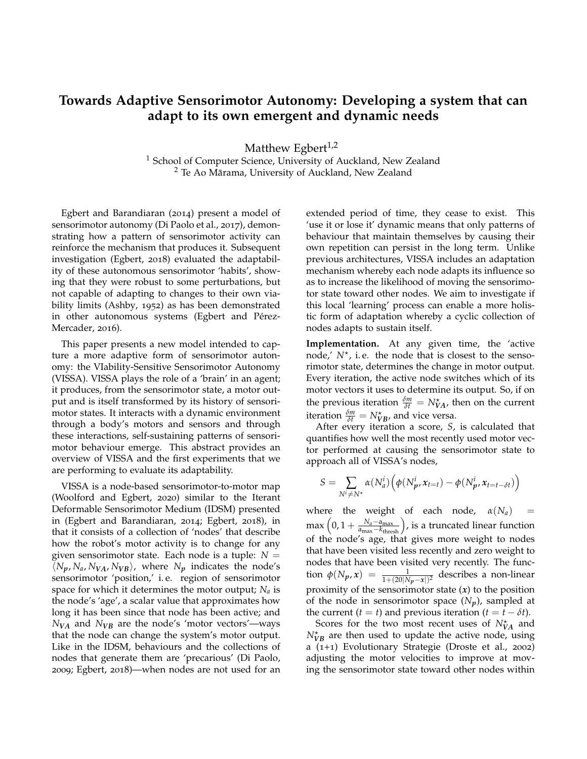## **Towards Adaptive Sensorimotor Autonomy: Developing a system that can adapt to its own emergent and dynamic needs**

Matthew Egbert $1,2$ 

<sup>1</sup> School of Computer Science, University of Auckland, New Zealand  $2$  Te Ao Mārama, University of Auckland, New Zealand

Egbert and Barandiaran (2014) present a model of sensorimotor autonomy (Di Paolo et al., 2017), demonstrating how a pattern of sensorimotor activity can reinforce the mechanism that produces it. Subsequent investigation (Egbert, 2018) evaluated the adaptability of these autonomous sensorimotor 'habits', showing that they were robust to some perturbations, but not capable of adapting to changes to their own viability limits (Ashby, 1952) as has been demonstrated in other autonomous systems (Egbert and Pérez-Mercader, 2016).

This paper presents a new model intended to capture a more adaptive form of sensorimotor autonomy: the VIability-Sensitive Sensorimotor Autonomy (VISSA). VISSA plays the role of a 'brain' in an agent; it produces, from the sensorimotor state, a motor output and is itself transformed by its history of sensorimotor states. It interacts with a dynamic environment through a body's motors and sensors and through these interactions, self-sustaining patterns of sensorimotor behaviour emerge. This abstract provides an overview of VISSA and the first experiments that we are performing to evaluate its adaptability.

VISSA is a node-based sensorimotor-to-motor map (Woolford and Egbert, 2020) similar to the Iterant Deformable Sensorimotor Medium (IDSM) presented in (Egbert and Barandiaran, 2014; Egbert, 2018), in that it consists of a collection of 'nodes' that describe how the robot's motor activity is to change for any given sensorimotor state. Each node is a tuple:  $N =$  $\langle N_p, N_a, N_{VA}, N_{VB} \rangle$ , where  $N_p$  indicates the node's sensorimotor 'position,' i.e. region of sensorimotor space for which it determines the motor output; *N<sup>a</sup>* is the node's 'age', a scalar value that approximates how long it has been since that node has been active; and  $N_{VA}$  and  $N_{VB}$  are the node's 'motor vectors'—ways that the node can change the system's motor output. Like in the IDSM, behaviours and the collections of nodes that generate them are 'precarious' (Di Paolo, 2009; Egbert, 2018)—when nodes are not used for an

extended period of time, they cease to exist. This 'use it or lose it' dynamic means that only patterns of behaviour that maintain themselves by causing their own repetition can persist in the long term. Unlike previous architectures, VISSA includes an adaptation mechanism whereby each node adapts its influence so as to increase the likelihood of moving the sensorimotor state toward other nodes. We aim to investigate if this local 'learning' process can enable a more holistic form of adaptation whereby a cyclic collection of nodes adapts to sustain itself.

**Implementation.** At any given time, the 'active node,'  $N^*$ , i.e. the node that is closest to the sensorimotor state, determines the change in motor output. Every iteration, the active node switches which of its motor vectors it uses to determine its output. So, if on the previous iteration  $\frac{\delta m}{\delta t} = N_{VA}^*$ , then on the current iteration  $\frac{\delta m}{\delta t} = N_{VB}^{\star}$ , and vice versa.

After every iteration a score, *S*, is calculated that quantifies how well the most recently used motor vector performed at causing the sensorimotor state to approach all of VISSA's nodes,

$$
S = \sum_{N^{i} \neq N^{\star}} \alpha(N^{i}_{a}) \Big(\phi(N^{i}_{p}, x_{t=t}) - \phi(N^{i}_{p}, x_{t=t-\delta t})\Big)
$$

where the weight of each node,  $\alpha(N_a)$ max  $\left(0,1+\frac{N_a-a_{\max}}{a_{\max}-k_{\text{thresh}}}\right)$ , is a truncated linear function of the node's age, that gives more weight to nodes that have been visited less recently and zero weight to nodes that have been visited very recently. The function  $\phi(N_p, x) = \frac{1}{1 + (20|N_p - x|)^2}$  describes a non-linear proximity of the sensorimotor state (*x*) to the position of the node in sensorimotor space  $(N_p)$ , sampled at the current ( $t = t$ ) and previous iteration ( $t = t - \delta t$ ).

Scores for the two most recent uses of  $N_{VA}^{\star}$  and  $N_{VB}^{\star}$  are then used to update the active node, using a (1+1) Evolutionary Strategie (Droste et al., 2002) adjusting the motor velocities to improve at moving the sensorimotor state toward other nodes within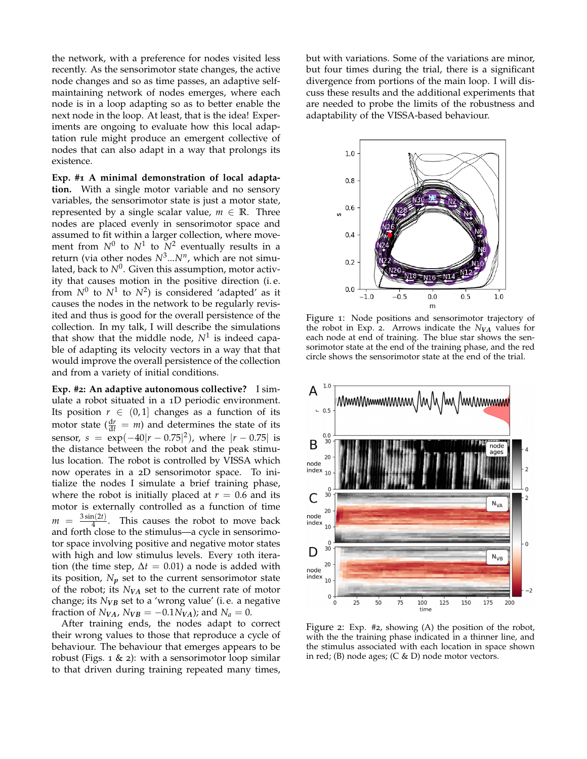the network, with a preference for nodes visited less recently. As the sensorimotor state changes, the active node changes and so as time passes, an adaptive selfmaintaining network of nodes emerges, where each node is in a loop adapting so as to better enable the next node in the loop. At least, that is the idea! Experiments are ongoing to evaluate how this local adaptation rule might produce an emergent collective of nodes that can also adapt in a way that prolongs its existence.

**Exp. #1 A minimal demonstration of local adaptation.** With a single motor variable and no sensory variables, the sensorimotor state is just a motor state, represented by a single scalar value,  $m \in \mathbb{R}$ . Three nodes are placed evenly in sensorimotor space and assumed to fit within a larger collection, where movement from  $N^0$  to  $N^1$  to  $N^2$  eventually results in a return (via other nodes  $N^3...N^n$ , which are not simulated, back to  $N^0$ . Given this assumption, motor activity that causes motion in the positive direction (i. e. from  $N^0$  to  $N^1$  to  $N^2$ ) is considered 'adapted' as it causes the nodes in the network to be regularly revisited and thus is good for the overall persistence of the collection. In my talk, I will describe the simulations that show that the middle node,  $N<sup>1</sup>$  is indeed capable of adapting its velocity vectors in a way that that would improve the overall persistence of the collection and from a variety of initial conditions.

**Exp. #2: An adaptive autonomous collective?** I simulate a robot situated in a 1D periodic environment. Its position  $r \in (0,1]$  changes as a function of its motor state  $\left(\frac{dr}{dt} = m\right)$  and determines the state of its sensor,  $s = \exp(-40|r - 0.75|^2)$ , where  $|r - 0.75|$  is the distance between the robot and the peak stimulus location. The robot is controlled by VISSA which now operates in a 2D sensorimotor space. To initialize the nodes I simulate a brief training phase, where the robot is initially placed at  $r = 0.6$  and its motor is externally controlled as a function of time  $m = \frac{3\sin(2t)}{4}$  $\frac{1}{4}$ . This causes the robot to move back and forth close to the stimulus—a cycle in sensorimotor space involving positive and negative motor states with high and low stimulus levels. Every 10th iteration (the time step,  $\Delta t = 0.01$ ) a node is added with its position,  $N_p$  set to the current sensorimotor state of the robot; its *NVA* set to the current rate of motor change; its *NVB* set to a 'wrong value' (i. e. a negative fraction of  $N_{VA}$ ,  $N_{VB} = -0.1 N_{VA}$ ; and  $N_a = 0$ .

After training ends, the nodes adapt to correct their wrong values to those that reproduce a cycle of behaviour. The behaviour that emerges appears to be robust (Figs. 1 & 2): with a sensorimotor loop similar to that driven during training repeated many times, but with variations. Some of the variations are minor, but four times during the trial, there is a significant divergence from portions of the main loop. I will discuss these results and the additional experiments that are needed to probe the limits of the robustness and adaptability of the VISSA-based behaviour.



Figure 1: Node positions and sensorimotor trajectory of the robot in Exp. 2. Arrows indicate the  $N_{VA}$  values for each node at end of training. The blue star shows the sensorimotor state at the end of the training phase, and the red circle shows the sensorimotor state at the end of the trial.



Figure 2: Exp. #2, showing (A) the position of the robot, with the the training phase indicated in a thinner line, and the stimulus associated with each location in space shown in red; (B) node ages; (C & D) node motor vectors.